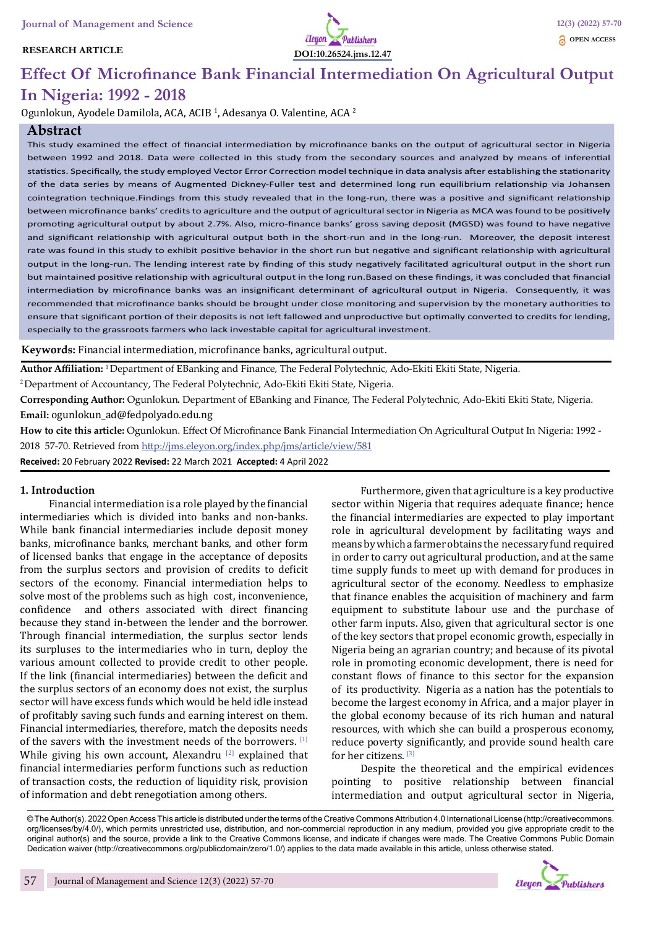# **RESEARCH ARTICLE**



# **Effect Of Microfinance Bank Financial Intermediation On Agricultural Output In Nigeria: 1992 - 2018**

Ogunlokun, Ayodele Damilola, ACA, ACIB <sup>1</sup>, Adesanya O. Valentine, ACA <sup>2</sup>

# **Abstract**

This study examined the effect of financial intermediation by microfinance banks on the output of agricultural sector in Nigeria between 1992 and 2018. Data were collected in this study from the secondary sources and analyzed by means of inferential statistics. Specifically, the study employed Vector Error Correction model technique in data analysis after establishing the stationarity of the data series by means of Augmented Dickney-Fuller test and determined long run equilibrium relationship via Johansen cointegration technique.Findings from this study revealed that in the long-run, there was a positive and significant relationship between microfinance banks' credits to agriculture and the output of agricultural sector in Nigeria as MCA was found to be positively promoting agricultural output by about 2.7%. Also, micro-finance banks' gross saving deposit (MGSD) was found to have negative and significant relationship with agricultural output both in the short-run and in the long-run. Moreover, the deposit interest rate was found in this study to exhibit positive behavior in the short run but negative and significant relationship with agricultural output in the long-run. The lending interest rate by finding of this study negatively facilitated agricultural output in the short run but maintained positive relationship with agricultural output in the long run.Based on these findings, it was concluded that financial intermediation by microfinance banks was an insignificant determinant of agricultural output in Nigeria. Consequently, it was recommended that microfinance banks should be brought under close monitoring and supervision by the monetary authorities to ensure that significant portion of their deposits is not left fallowed and unproductive but optimally converted to credits for lending, especially to the grassroots farmers who lack investable capital for agricultural investment.

**Keywords:** Financial intermediation, microfinance banks, agricultural output.

**Author Affiliation:** 1 Department of EBanking and Finance, The Federal Polytechnic, Ado-Ekiti Ekiti State, Nigeria.

2 Department of Accountancy, The Federal Polytechnic, Ado-Ekiti Ekiti State, Nigeria.

**Corresponding Author:** Ogunlokun. Department of EBanking and Finance, The Federal Polytechnic, Ado-Ekiti Ekiti State, Nigeria. **Email:** ogunlokun\_ad@fedpolyado.edu.ng

**How to cite this article:** Ogunlokun. Effect Of Microfinance Bank Financial Intermediation On Agricultural Output In Nigeria: 1992 - 2018 57-70. Retrieved from http://jms.eleyon.org/index.php/jms/article/view/581 **Received:** 20 February 2022 **Revised:** 22 March 2021 **Accepted:** 4 April 2022

# **1. Introduction**

Financial intermediation is a role played by the financial intermediaries which is divided into banks and non-banks. While bank financial intermediaries include deposit money banks, microfinance banks, merchant banks, and other form of licensed banks that engage in the acceptance of deposits from the surplus sectors and provision of credits to deficit sectors of the economy. Financial intermediation helps to solve most of the problems such as high cost, inconvenience, confidence and others associated with direct financing because they stand in-between the lender and the borrower. Through financial intermediation, the surplus sector lends its surpluses to the intermediaries who in turn, deploy the various amount collected to provide credit to other people. If the link (financial intermediaries) between the deficit and the surplus sectors of an economy does not exist, the surplus sector will have excess funds which would be held idle instead of profitably saving such funds and earning interest on them. Financial intermediaries, therefore, match the deposits needs of the savers with the investment needs of the borrowers. [1] While giving his own account, Alexandru  $[2]$  explained that financial intermediaries perform functions such as reduction of transaction costs, the reduction of liquidity risk, provision of information and debt renegotiation among others.

Furthermore, given that agriculture is a key productive sector within Nigeria that requires adequate finance; hence the financial intermediaries are expected to play important role in agricultural development by facilitating ways and means by which a farmer obtains the necessary fund required in order to carry out agricultural production, and at the same time supply funds to meet up with demand for produces in agricultural sector of the economy. Needless to emphasize that finance enables the acquisition of machinery and farm equipment to substitute labour use and the purchase of other farm inputs. Also, given that agricultural sector is one of the key sectors that propel economic growth, especially in Nigeria being an agrarian country; and because of its pivotal role in promoting economic development, there is need for constant flows of finance to this sector for the expansion of its productivity. Nigeria as a nation has the potentials to become the largest economy in Africa, and a major player in the global economy because of its rich human and natural resources, with which she can build a prosperous economy, reduce poverty significantly, and provide sound health care for her citizens.<sup>[3]</sup>

Despite the theoretical and the empirical evidences pointing to positive relationship between financial intermediation and output agricultural sector in Nigeria,

© The Author(s). 2022 Open Access This article is distributed under the terms of the Creative Commons Attribution 4.0 International License (http://creativecommons. org/licenses/by/4.0/), which permits unrestricted use, distribution, and non-commercial reproduction in any medium, provided you give appropriate credit to the original author(s) and the source, provide a link to the Creative Commons license, and indicate if changes were made. The Creative Commons Public Domain Dedication waiver (http://creativecommons.org/publicdomain/zero/1.0/) applies to the data made available in this article, unless otherwise stated.

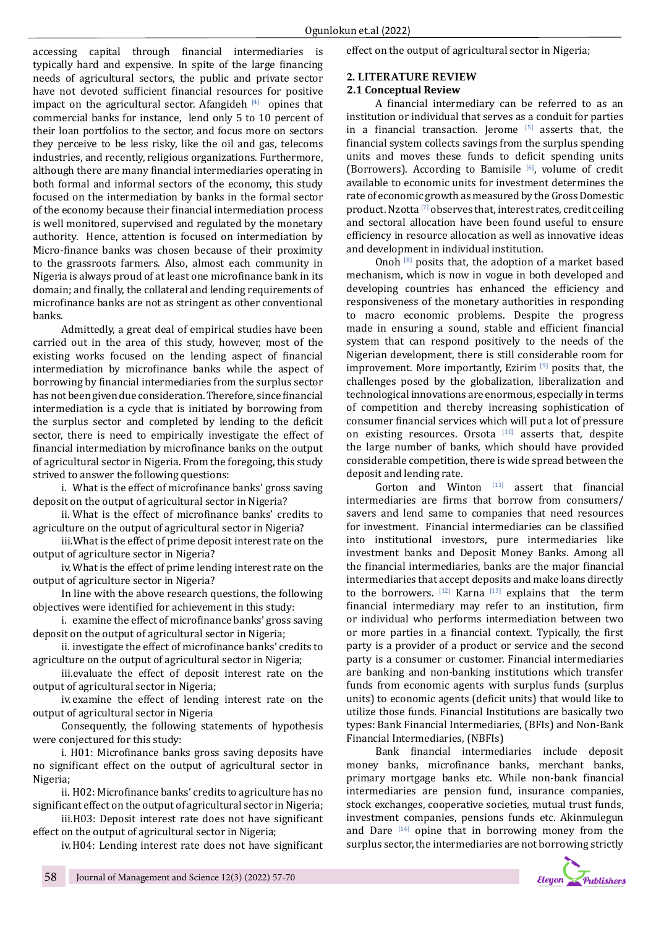accessing capital through financial intermediaries is typically hard and expensive. In spite of the large financing needs of agricultural sectors, the public and private sector have not devoted sufficient financial resources for positive impact on the agricultural sector. Afangideh  $[4]$  opines that commercial banks for instance, lend only 5 to 10 percent of their loan portfolios to the sector, and focus more on sectors they perceive to be less risky, like the oil and gas, telecoms industries, and recently, religious organizations. Furthermore, although there are many financial intermediaries operating in both formal and informal sectors of the economy, this study focused on the intermediation by banks in the formal sector of the economy because their financial intermediation process is well monitored, supervised and regulated by the monetary authority. Hence, attention is focused on intermediation by Micro-finance banks was chosen because of their proximity to the grassroots farmers. Also, almost each community in Nigeria is always proud of at least one microfinance bank in its domain; and finally, the collateral and lending requirements of microfinance banks are not as stringent as other conventional banks.

Admittedly, a great deal of empirical studies have been carried out in the area of this study, however, most of the existing works focused on the lending aspect of financial intermediation by microfinance banks while the aspect of borrowing by financial intermediaries from the surplus sector has not been given due consideration. Therefore, since financial intermediation is a cycle that is initiated by borrowing from the surplus sector and completed by lending to the deficit sector, there is need to empirically investigate the effect of financial intermediation by microfinance banks on the output of agricultural sector in Nigeria. From the foregoing, this study strived to answer the following questions:

i. What is the effect of microfinance banks' gross saving deposit on the output of agricultural sector in Nigeria?

ii. What is the effect of microfinance banks' credits to agriculture on the output of agricultural sector in Nigeria?

iii.What is the effect of prime deposit interest rate on the output of agriculture sector in Nigeria?

iv.What is the effect of prime lending interest rate on the output of agriculture sector in Nigeria?

In line with the above research questions, the following objectives were identified for achievement in this study:

i. examine the effect of microfinance banks' gross saving deposit on the output of agricultural sector in Nigeria;

ii. investigate the effect of microfinance banks' credits to agriculture on the output of agricultural sector in Nigeria;

iii.evaluate the effect of deposit interest rate on the output of agricultural sector in Nigeria;

iv.examine the effect of lending interest rate on the output of agricultural sector in Nigeria

Consequently, the following statements of hypothesis were conjectured for this study:

i. H01: Microfinance banks gross saving deposits have no significant effect on the output of agricultural sector in Nigeria;

ii. H02: Microfinance banks' credits to agriculture has no significant effect on the output of agricultural sector in Nigeria;

iii.H03: Deposit interest rate does not have significant effect on the output of agricultural sector in Nigeria;

iv.H04: Lending interest rate does not have significant

effect on the output of agricultural sector in Nigeria;

# **2. LITERATURE REVIEW**

# **2.1 Conceptual Review**

A financial intermediary can be referred to as an institution or individual that serves as a conduit for parties in a financial transaction. Jerome  $[5]$  asserts that, the financial system collects savings from the surplus spending units and moves these funds to deficit spending units (Borrowers). According to Bamisile  $[6]$ , volume of credit available to economic units for investment determines the rate of economic growth as measured by the Gross Domestic product. Nzotta<sup>[7]</sup> observes that, interest rates, credit ceiling and sectoral allocation have been found useful to ensure efficiency in resource allocation as well as innovative ideas and development in individual institution.

Onoh  $^{[8]}$  posits that, the adoption of a market based mechanism, which is now in vogue in both developed and developing countries has enhanced the efficiency and responsiveness of the monetary authorities in responding to macro economic problems. Despite the progress made in ensuring a sound, stable and efficient financial system that can respond positively to the needs of the Nigerian development, there is still considerable room for improvement. More importantly, Ezirim  $[9]$  posits that, the challenges posed by the globalization, liberalization and technological innovations are enormous, especially in terms of competition and thereby increasing sophistication of consumer financial services which will put a lot of pressure on existing resources. Orsota [10] asserts that, despite the large number of banks, which should have provided considerable competition, there is wide spread between the deposit and lending rate.

Gorton and Winton [11] assert that financial intermediaries are firms that borrow from consumers/ savers and lend same to companies that need resources for investment. Financial intermediaries can be classified into institutional investors, pure intermediaries like investment banks and Deposit Money Banks. Among all the financial intermediaries, banks are the major financial intermediaries that accept deposits and make loans directly to the borrowers.  $[12]$  Karna  $[13]$  explains that the term financial intermediary may refer to an institution, firm or individual who performs intermediation between two or more parties in a financial context. Typically, the first party is a provider of a product or service and the second party is a consumer or customer. Financial intermediaries are banking and non-banking institutions which transfer funds from economic agents with surplus funds (surplus units) to economic agents (deficit units) that would like to utilize those funds. Financial Institutions are basically two types: Bank Financial Intermediaries, (BFIs) and Non-Bank Financial Intermediaries, (NBFIs)

Bank financial intermediaries include deposit money banks, microfinance banks, merchant banks, primary mortgage banks etc. While non-bank financial intermediaries are pension fund, insurance companies, stock exchanges, cooperative societies, mutual trust funds, investment companies, pensions funds etc. Akinmulegun and Dare  $[14]$  opine that in borrowing money from the surplus sector, the intermediaries are not borrowing strictly

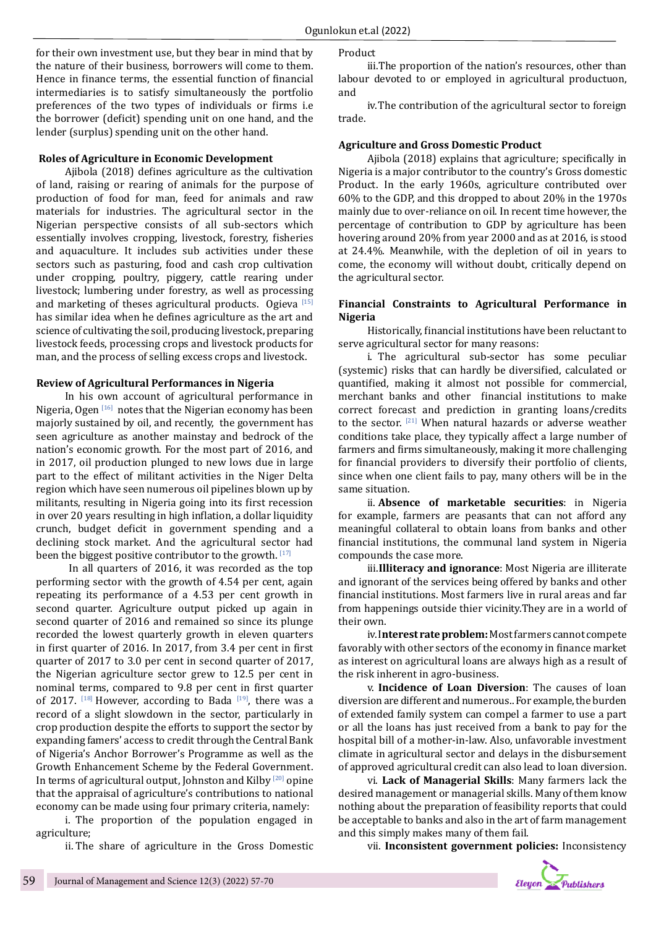for their own investment use, but they bear in mind that by the nature of their business, borrowers will come to them. Hence in finance terms, the essential function of financial intermediaries is to satisfy simultaneously the portfolio preferences of the two types of individuals or firms i.e the borrower (deficit) spending unit on one hand, and the lender (surplus) spending unit on the other hand.

# **Roles of Agriculture in Economic Development**

Ajibola (2018) defines agriculture as the cultivation of land, raising or rearing of animals for the purpose of production of food for man, feed for animals and raw materials for industries. The agricultural sector in the Nigerian perspective consists of all sub-sectors which essentially involves cropping, livestock, forestry, fisheries and aquaculture. It includes sub activities under these sectors such as pasturing, food and cash crop cultivation under cropping, poultry, piggery, cattle rearing under livestock; lumbering under forestry, as well as processing and marketing of theses agricultural products. Ogieva  $[15]$ has similar idea when he defines agriculture as the art and science of cultivating the soil, producing livestock, preparing livestock feeds, processing crops and livestock products for man, and the process of selling excess crops and livestock.

#### **Review of Agricultural Performances in Nigeria**

In his own account of agricultural performance in Nigeria, Ogen  $[16]$  notes that the Nigerian economy has been majorly sustained by oil, and recently, the government has seen agriculture as another mainstay and bedrock of the nation's economic growth. For the most part of 2016, and in 2017, oil production plunged to new lows due in large part to the effect of militant activities in the Niger Delta region which have seen numerous oil pipelines blown up by militants, resulting in Nigeria going into its first recession in over 20 years resulting in high inflation, a dollar liquidity crunch, budget deficit in government spending and a declining stock market. And the agricultural sector had been the biggest positive contributor to the growth. [17]

 In all quarters of 2016, it was recorded as the top performing sector with the growth of 4.54 per cent, again repeating its performance of a 4.53 per cent growth in second quarter. Agriculture output picked up again in second quarter of 2016 and remained so since its plunge recorded the lowest quarterly growth in eleven quarters in first quarter of 2016. In 2017, from 3.4 per cent in first quarter of 2017 to 3.0 per cent in second quarter of 2017, the Nigerian agriculture sector grew to 12.5 per cent in nominal terms, compared to 9.8 per cent in first quarter of 2017.  $[18]$  However, according to Bada  $[19]$ , there was a record of a slight slowdown in the sector, particularly in crop production despite the efforts to support the sector by expanding famers' access to credit through the Central Bank of Nigeria's Anchor Borrower's Programme as well as the Growth Enhancement Scheme by the Federal Government. In terms of agricultural output, Johnston and Kilby<sup>[20]</sup> opine that the appraisal of agriculture's contributions to national economy can be made using four primary criteria, namely:

i. The proportion of the population engaged in agriculture;

ii. The share of agriculture in the Gross Domestic

Product

iii.The proportion of the nation's resources, other than labour devoted to or employed in agricultural productuon, and

iv.The contribution of the agricultural sector to foreign trade.

#### **Agriculture and Gross Domestic Product**

Ajibola (2018) explains that agriculture; specifically in Nigeria is a major contributor to the country's Gross domestic Product. In the early 1960s, agriculture contributed over 60% to the GDP, and this dropped to about 20% in the 1970s mainly due to over-reliance on oil. In recent time however, the percentage of contribution to GDP by agriculture has been hovering around 20% from year 2000 and as at 2016, is stood at 24.4%. Meanwhile, with the depletion of oil in years to come, the economy will without doubt, critically depend on the agricultural sector.

#### **Financial Constraints to Agricultural Performance in Nigeria**

Historically, financial institutions have been reluctant to serve agricultural sector for many reasons:

i. The agricultural sub-sector has some peculiar (systemic) risks that can hardly be diversified, calculated or quantified, making it almost not possible for commercial, merchant banks and other financial institutions to make correct forecast and prediction in granting loans/credits to the sector. [21] When natural hazards or adverse weather conditions take place, they typically affect a large number of farmers and firms simultaneously, making it more challenging for financial providers to diversify their portfolio of clients, since when one client fails to pay, many others will be in the same situation.

ii. **Absence of marketable securities**: in Nigeria for example, farmers are peasants that can not afford any meaningful collateral to obtain loans from banks and other financial institutions, the communal land system in Nigeria compounds the case more.

iii.**Illiteracy and ignorance**: Most Nigeria are illiterate and ignorant of the services being offered by banks and other financial institutions. Most farmers live in rural areas and far from happenings outside thier vicinity.They are in a world of their own.

iv.I**nterest rate problem:** Most farmers cannot compete favorably with other sectors of the economy in finance market as interest on agricultural loans are always high as a result of the risk inherent in agro-business.

v. **Incidence of Loan Diversion**: The causes of loan diversion are different and numerous.. For example, the burden of extended family system can compel a farmer to use a part or all the loans has just received from a bank to pay for the hospital bill of a mother-in-law. Also, unfavorable investment climate in agricultural sector and delays in the disbursement of approved agricultural credit can also lead to loan diversion.

vi. **Lack of Managerial Skills**: Many farmers lack the desired management or managerial skills. Many of them know nothing about the preparation of feasibility reports that could be acceptable to banks and also in the art of farm management and this simply makes many of them fail.

vii. **Inconsistent government policies:** Inconsistency

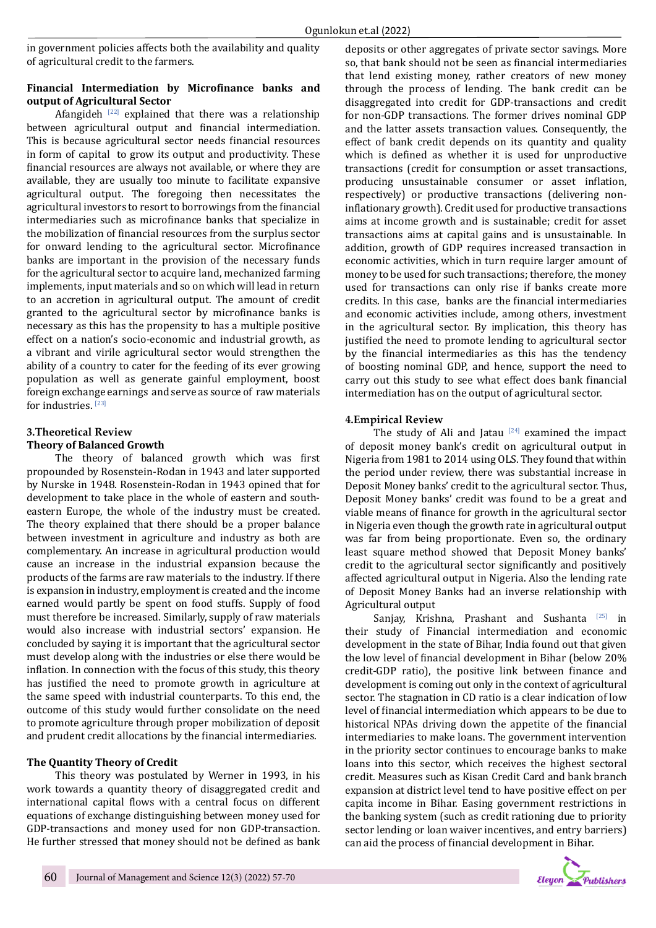in government policies affects both the availability and quality of agricultural credit to the farmers.

# **Financial Intermediation by Microfinance banks and output of Agricultural Sector**

Afangideh  $[22]$  explained that there was a relationship between agricultural output and financial intermediation. This is because agricultural sector needs financial resources in form of capital to grow its output and productivity. These financial resources are always not available, or where they are available, they are usually too minute to facilitate expansive agricultural output. The foregoing then necessitates the agricultural investors to resort to borrowings from the financial intermediaries such as microfinance banks that specialize in the mobilization of financial resources from the surplus sector for onward lending to the agricultural sector. Microfinance banks are important in the provision of the necessary funds for the agricultural sector to acquire land, mechanized farming implements, input materials and so on which will lead in return to an accretion in agricultural output. The amount of credit granted to the agricultural sector by microfinance banks is necessary as this has the propensity to has a multiple positive effect on a nation's socio-economic and industrial growth, as a vibrant and virile agricultural sector would strengthen the ability of a country to cater for the feeding of its ever growing population as well as generate gainful employment, boost foreign exchange earnings and serve as source of raw materials for industries. [23]

# **3.Theoretical Review Theory of Balanced Growth**

The theory of balanced growth which was first propounded by Rosenstein-Rodan in 1943 and later supported by Nurske in 1948. Rosenstein-Rodan in 1943 opined that for development to take place in the whole of eastern and southeastern Europe, the whole of the industry must be created. The theory explained that there should be a proper balance between investment in agriculture and industry as both are complementary. An increase in agricultural production would cause an increase in the industrial expansion because the products of the farms are raw materials to the industry. If there is expansion in industry, employment is created and the income earned would partly be spent on food stuffs. Supply of food must therefore be increased. Similarly, supply of raw materials would also increase with industrial sectors' expansion. He concluded by saying it is important that the agricultural sector must develop along with the industries or else there would be inflation. In connection with the focus of this study, this theory has justified the need to promote growth in agriculture at the same speed with industrial counterparts. To this end, the outcome of this study would further consolidate on the need to promote agriculture through proper mobilization of deposit and prudent credit allocations by the financial intermediaries.

# **The Quantity Theory of Credit**

This theory was postulated by Werner in 1993, in his work towards a quantity theory of disaggregated credit and international capital flows with a central focus on different equations of exchange distinguishing between money used for GDP-transactions and money used for non GDP-transaction. He further stressed that money should not be defined as bank deposits or other aggregates of private sector savings. More so, that bank should not be seen as financial intermediaries that lend existing money, rather creators of new money through the process of lending. The bank credit can be disaggregated into credit for GDP-transactions and credit for non-GDP transactions. The former drives nominal GDP and the latter assets transaction values. Consequently, the effect of bank credit depends on its quantity and quality which is defined as whether it is used for unproductive transactions (credit for consumption or asset transactions, producing unsustainable consumer or asset inflation, respectively) or productive transactions (delivering noninflationary growth). Credit used for productive transactions aims at income growth and is sustainable; credit for asset transactions aims at capital gains and is unsustainable. In addition, growth of GDP requires increased transaction in economic activities, which in turn require larger amount of money to be used for such transactions; therefore, the money used for transactions can only rise if banks create more credits. In this case, banks are the financial intermediaries and economic activities include, among others, investment in the agricultural sector. By implication, this theory has justified the need to promote lending to agricultural sector by the financial intermediaries as this has the tendency of boosting nominal GDP, and hence, support the need to carry out this study to see what effect does bank financial intermediation has on the output of agricultural sector.

# **4.Empirical Review**

The study of Ali and Jatau  $[24]$  examined the impact of deposit money bank's credit on agricultural output in Nigeria from 1981 to 2014 using OLS. They found that within the period under review, there was substantial increase in Deposit Money banks' credit to the agricultural sector. Thus, Deposit Money banks' credit was found to be a great and viable means of finance for growth in the agricultural sector in Nigeria even though the growth rate in agricultural output was far from being proportionate. Even so, the ordinary least square method showed that Deposit Money banks' credit to the agricultural sector significantly and positively affected agricultural output in Nigeria. Also the lending rate of Deposit Money Banks had an inverse relationship with Agricultural output

Sanjay, Krishna, Prashant and Sushanta <sup>[25]</sup> in their study of Financial intermediation and economic development in the state of Bihar, India found out that given the low level of financial development in Bihar (below 20% credit-GDP ratio), the positive link between finance and development is coming out only in the context of agricultural sector. The stagnation in CD ratio is a clear indication of low level of financial intermediation which appears to be due to historical NPAs driving down the appetite of the financial intermediaries to make loans. The government intervention in the priority sector continues to encourage banks to make loans into this sector, which receives the highest sectoral credit. Measures such as Kisan Credit Card and bank branch expansion at district level tend to have positive effect on per capita income in Bihar. Easing government restrictions in the banking system (such as credit rationing due to priority sector lending or loan waiver incentives, and entry barriers) can aid the process of financial development in Bihar.

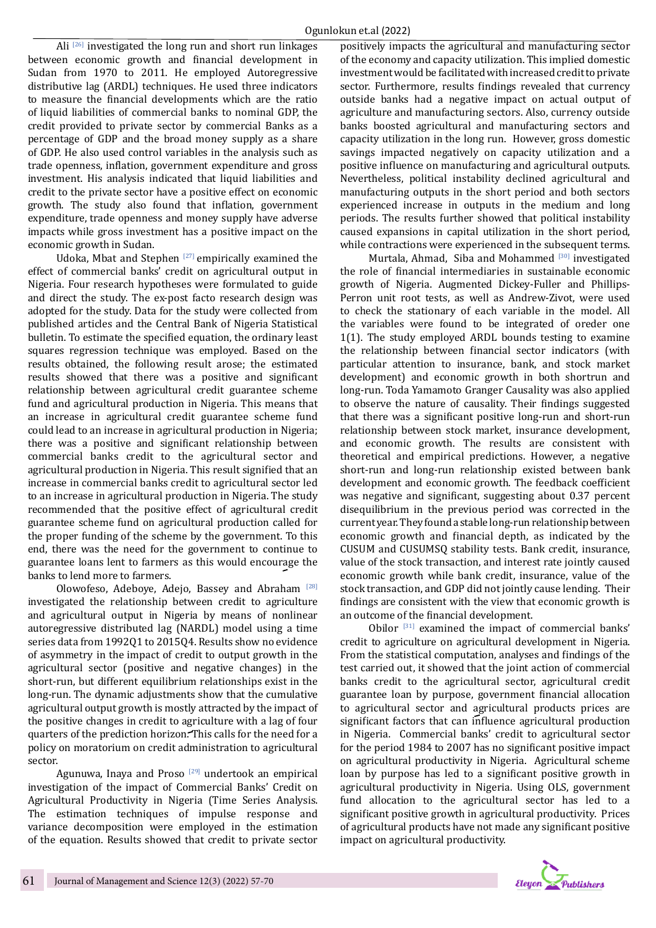Ali  $[26]$  investigated the long run and short run linkages between economic growth and financial development in Sudan from 1970 to 2011. He employed Autoregressive distributive lag (ARDL) techniques. He used three indicators to measure the financial developments which are the ratio of liquid liabilities of commercial banks to nominal GDP, the credit provided to private sector by commercial Banks as a percentage of GDP and the broad money supply as a share of GDP. He also used control variables in the analysis such as trade openness, inflation, government expenditure and gross investment. His analysis indicated that liquid liabilities and credit to the private sector have a positive effect on economic growth. The study also found that inflation, government expenditure, trade openness and money supply have adverse impacts while gross investment has a positive impact on the economic growth in Sudan.

Udoka, Mbat and Stephen<sup>[27]</sup> empirically examined the effect of commercial banks' credit on agricultural output in Nigeria. Four research hypotheses were formulated to guide and direct the study. The ex-post facto research design was adopted for the study. Data for the study were collected from published articles and the Central Bank of Nigeria Statistical bulletin. To estimate the specified equation, the ordinary least squares regression technique was employed. Based on the results obtained, the following result arose; the estimated results showed that there was a positive and significant relationship between agricultural credit guarantee scheme fund and agricultural production in Nigeria. This means that an increase in agricultural credit guarantee scheme fund could lead to an increase in agricultural production in Nigeria; there was a positive and significant relationship between commercial banks credit to the agricultural sector and agricultural production in Nigeria. This result signified that an increase in commercial banks credit to agricultural sector led to an increase in agricultural production in Nigeria. The study recommended that the positive effect of agricultural credit guarantee scheme fund on agricultural production called for the proper funding of the scheme by the government. To this end, there was the need for the government to continue to guarantee loans lent to farmers as this would encourage the banks to lend more to farmers.

Olowofeso, Adeboye, Adejo, Bassey and Abraham [28] investigated the relationship between credit to agriculture and agricultural output in Nigeria by means of nonlinear autoregressive distributed lag (NARDL) model using a time series data from 1992Q1 to 2015Q4. Results show no evidence of asymmetry in the impact of credit to output growth in the agricultural sector (positive and negative changes) in the short-run, but different equilibrium relationships exist in the long-run. The dynamic adjustments show that the cumulative agricultural output growth is mostly attracted by the impact of the positive changes in credit to agriculture with a lag of four quarters of the prediction horizon. This calls for the need for a policy on moratorium on credit administration to agricultural sector.

Agunuwa, Inaya and Proso  $[29]$  undertook an empirical investigation of the impact of Commercial Banks' Credit on Agricultural Productivity in Nigeria (Time Series Analysis. The estimation techniques of impulse response and variance decomposition were employed in the estimation of the equation. Results showed that credit to private sector positively impacts the agricultural and manufacturing sector of the economy and capacity utilization. This implied domestic investment would be facilitated with increased credit to private sector. Furthermore, results findings revealed that currency outside banks had a negative impact on actual output of agriculture and manufacturing sectors. Also, currency outside banks boosted agricultural and manufacturing sectors and capacity utilization in the long run. However, gross domestic savings impacted negatively on capacity utilization and a positive influence on manufacturing and agricultural outputs. Nevertheless, political instability declined agricultural and manufacturing outputs in the short period and both sectors experienced increase in outputs in the medium and long periods. The results further showed that political instability caused expansions in capital utilization in the short period, while contractions were experienced in the subsequent terms.

Murtala, Ahmad, Siba and Mohammed [30] investigated the role of financial intermediaries in sustainable economic growth of Nigeria. Augmented Dickey-Fuller and Phillips-Perron unit root tests, as well as Andrew-Zivot, were used to check the stationary of each variable in the model. All the variables were found to be integrated of oreder one 1(1). The study employed ARDL bounds testing to examine the relationship between financial sector indicators (with particular attention to insurance, bank, and stock market development) and economic growth in both shortrun and long-run. Toda Yamamoto Granger Causality was also applied to observe the nature of causality. Their findings suggested that there was a significant positive long-run and short-run relationship between stock market, insurance development, and economic growth. The results are consistent with theoretical and empirical predictions. However, a negative short-run and long-run relationship existed between bank development and economic growth. The feedback coefficient was negative and significant, suggesting about 0.37 percent disequilibrium in the previous period was corrected in the current year. They found a stable long-run relationship between economic growth and financial depth, as indicated by the CUSUM and CUSUMSQ stability tests. Bank credit, insurance, value of the stock transaction, and interest rate jointly caused economic growth while bank credit, insurance, value of the stock transaction, and GDP did not jointly cause lending. Their findings are consistent with the view that economic growth is an outcome of the financial development.

Obilor [31] examined the impact of commercial banks' credit to agriculture on agricultural development in Nigeria. From the statistical computation, analyses and findings of the test carried out, it showed that the joint action of commercial banks credit to the agricultural sector, agricultural credit guarantee loan by purpose, government financial allocation to agricultural sector and agricultural products prices are significant factors that can influence agricultural production in Nigeria. Commercial banks' credit to agricultural sector for the period 1984 to 2007 has no significant positive impact on agricultural productivity in Nigeria. Agricultural scheme loan by purpose has led to a significant positive growth in agricultural productivity in Nigeria. Using OLS, government fund allocation to the agricultural sector has led to a significant positive growth in agricultural productivity. Prices of agricultural products have not made any significant positive impact on agricultural productivity.

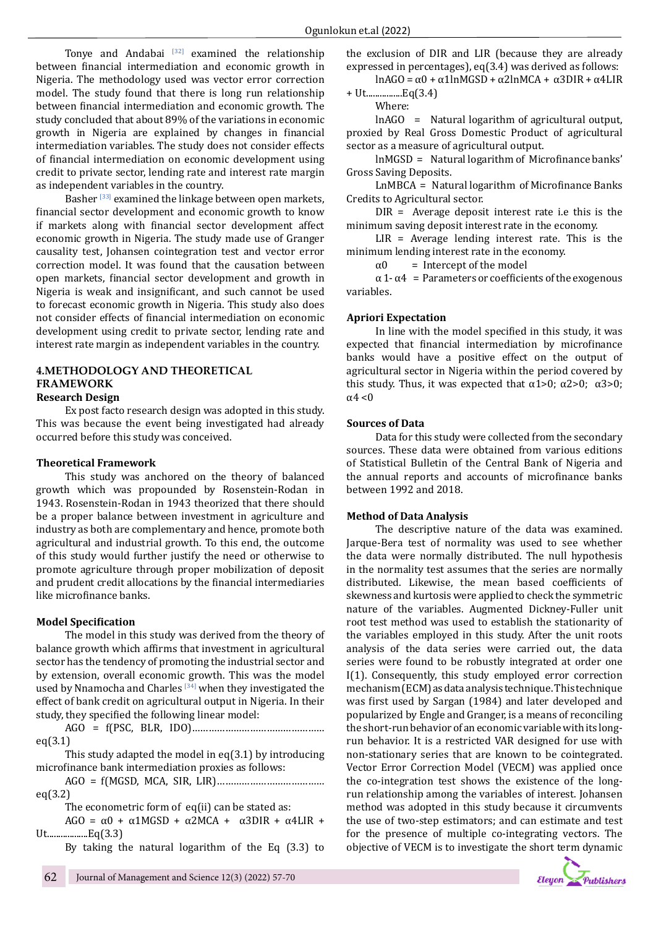Tonye and Andabai  $[32]$  examined the relationship between financial intermediation and economic growth in Nigeria. The methodology used was vector error correction model. The study found that there is long run relationship between financial intermediation and economic growth. The study concluded that about 89% of the variations in economic growth in Nigeria are explained by changes in financial intermediation variables. The study does not consider effects of financial intermediation on economic development using credit to private sector, lending rate and interest rate margin as independent variables in the country.

Basher<sup>[33]</sup> examined the linkage between open markets, financial sector development and economic growth to know if markets along with financial sector development affect economic growth in Nigeria. The study made use of Granger causality test, Johansen cointegration test and vector error correction model. It was found that the causation between open markets, financial sector development and growth in Nigeria is weak and insignificant, and such cannot be used to forecast economic growth in Nigeria. This study also does not consider effects of financial intermediation on economic development using credit to private sector, lending rate and interest rate margin as independent variables in the country.

#### **4.METHODOLOGY AND THEORETICAL FRAMEWORK Research Design**

Ex post facto research design was adopted in this study. This was because the event being investigated had already occurred before this study was conceived.

#### **Theoretical Framework**

This study was anchored on the theory of balanced growth which was propounded by Rosenstein-Rodan in 1943. Rosenstein-Rodan in 1943 theorized that there should be a proper balance between investment in agriculture and industry as both are complementary and hence, promote both agricultural and industrial growth. To this end, the outcome of this study would further justify the need or otherwise to promote agriculture through proper mobilization of deposit and prudent credit allocations by the financial intermediaries like microfinance banks.

# **Model Specification**

The model in this study was derived from the theory of balance growth which affirms that investment in agricultural sector has the tendency of promoting the industrial sector and by extension, overall economic growth. This was the model used by Nnamocha and Charles  $[34]$  when they investigated the effect of bank credit on agricultural output in Nigeria. In their study, they specified the following linear model:

AGO = f(PSC, BLR, IDO)………………………………………… eq(3.1)

This study adapted the model in eq(3.1) by introducing microfinance bank intermediation proxies as follows:

AGO = f(MGSD, MCA, SIR, LIR)………………………………… eq(3.2)

The econometric form of eq(ii) can be stated as:

AGO =  $\alpha$ 0 +  $\alpha$ 1MGSD +  $\alpha$ 2MCA +  $\alpha$ 3DIR +  $\alpha$ 4LIR + Ut..................Eq(3.3)

By taking the natural logarithm of the Eq (3.3) to

the exclusion of DIR and LIR (because they are already expressed in percentages), eq(3.4) was derived as follows:

lnAGO = α0 + α1lnMGSD + α2lnMCA + α3DIR + α4LIR + Ut................Eq(3.4)

Where:

lnAGO = Natural logarithm of agricultural output, proxied by Real Gross Domestic Product of agricultural sector as a measure of agricultural output.

lnMGSD = Natural logarithm of Microfinance banks' Gross Saving Deposits.

LnMBCA = Natural logarithm of Microfinance Banks Credits to Agricultural sector.

DIR = Average deposit interest rate i.e this is the minimum saving deposit interest rate in the economy.

 $LIR =$  Average lending interest rate. This is the minimum lending interest rate in the economy.<br> $\alpha 0$  = Intercept of the model

= Intercept of the model

 $\alpha$  1 -  $\alpha$ 4 = Parameters or coefficients of the exogenous variables.

# **Apriori Expectation**

In line with the model specified in this study, it was expected that financial intermediation by microfinance banks would have a positive effect on the output of agricultural sector in Nigeria within the period covered by this study. Thus, it was expected that  $α1>0$ ;  $α2>0$ ;  $α3>0$ ;  $\alpha$ 4 < 0

#### **Sources of Data**

Data for this study were collected from the secondary sources. These data were obtained from various editions of Statistical Bulletin of the Central Bank of Nigeria and the annual reports and accounts of microfinance banks between 1992 and 2018.

#### **Method of Data Analysis**

The descriptive nature of the data was examined. Jarque-Bera test of normality was used to see whether the data were normally distributed. The null hypothesis in the normality test assumes that the series are normally distributed. Likewise, the mean based coefficients of skewness and kurtosis were applied to check the symmetric nature of the variables. Augmented Dickney-Fuller unit root test method was used to establish the stationarity of the variables employed in this study. After the unit roots analysis of the data series were carried out, the data series were found to be robustly integrated at order one I(1). Consequently, this study employed error correction mechanism (ECM) as data analysis technique. This technique was first used by Sargan (1984) and later developed and popularized by Engle and Granger, is a means of reconciling the short-run behavior of an economic variable with its longrun behavior. It is a restricted VAR designed for use with non-stationary series that are known to be cointegrated. Vector Error Correction Model (VECM) was applied once the co-integration test shows the existence of the longrun relationship among the variables of interest. Johansen method was adopted in this study because it circumvents the use of two-step estimators; and can estimate and test for the presence of multiple co-integrating vectors. The objective of VECM is to investigate the short term dynamic

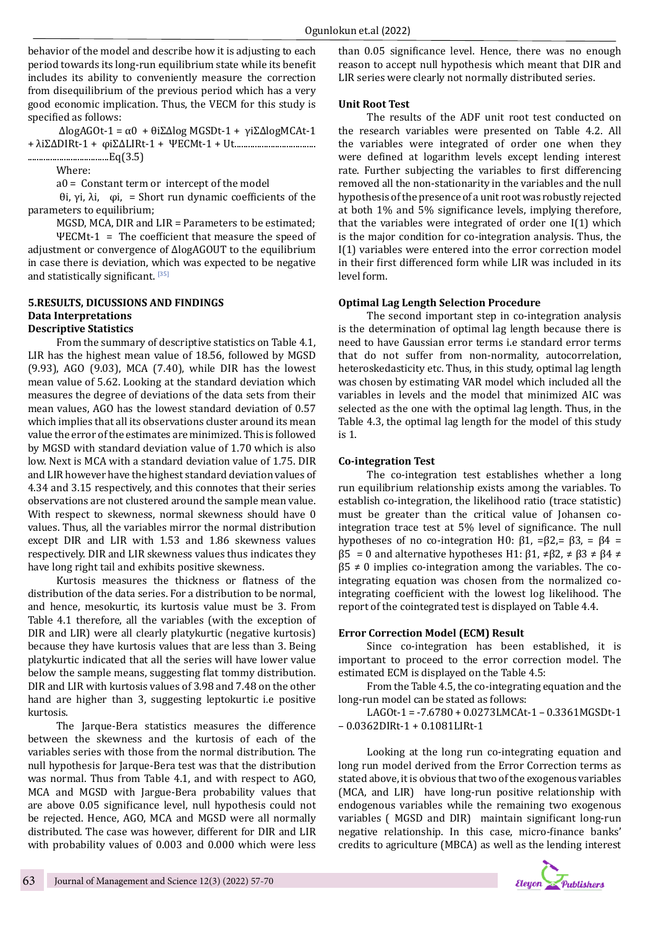behavior of the model and describe how it is adjusting to each period towards its long-run equilibrium state while its benefit includes its ability to conveniently measure the correction from disequilibrium of the previous period which has a very good economic implication. Thus, the VECM for this study is specified as follows:

 ΔlogAGOt-1 = α0 + θiΣΔlog MGSDt-1 + γiΣΔlogMCAt-1 + λiΣΔDIRt-1 + φiΣΔLIRt-1 + ΨECMt-1 + Ut....................................

....................................Eq(3.5) Where:

a0 = Constant term or intercept of the model

 θi, γi, λi, φi, = Short run dynamic coefficients of the parameters to equilibrium;

MGSD, MCA, DIR and LIR = Parameters to be estimated;

ΨECMt-1 = The coefficient that measure the speed of adjustment or convergence of ΔlogAGOUT to the equilibrium in case there is deviation, which was expected to be negative and statistically significant. [35]

# **5.RESULTS, DICUSSIONS AND FINDINGS Data Interpretations Descriptive Statistics**

From the summary of descriptive statistics on Table 4.1, LIR has the highest mean value of 18.56, followed by MGSD (9.93), AGO (9.03), MCA (7.40), while DIR has the lowest mean value of 5.62. Looking at the standard deviation which measures the degree of deviations of the data sets from their mean values, AGO has the lowest standard deviation of 0.57 which implies that all its observations cluster around its mean value the error of the estimates are minimized. This is followed by MGSD with standard deviation value of 1.70 which is also low. Next is MCA with a standard deviation value of 1.75. DIR and LIR however have the highest standard deviation values of 4.34 and 3.15 respectively, and this connotes that their series observations are not clustered around the sample mean value. With respect to skewness, normal skewness should have 0 values. Thus, all the variables mirror the normal distribution except DIR and LIR with 1.53 and 1.86 skewness values respectively. DIR and LIR skewness values thus indicates they have long right tail and exhibits positive skewness.

Kurtosis measures the thickness or flatness of the distribution of the data series. For a distribution to be normal, and hence, mesokurtic, its kurtosis value must be 3. From Table 4.1 therefore, all the variables (with the exception of DIR and LIR) were all clearly platykurtic (negative kurtosis) because they have kurtosis values that are less than 3. Being platykurtic indicated that all the series will have lower value below the sample means, suggesting flat tommy distribution. DIR and LIR with kurtosis values of 3.98 and 7.48 on the other hand are higher than 3, suggesting leptokurtic i.e positive kurtosis.

The Jarque-Bera statistics measures the difference between the skewness and the kurtosis of each of the variables series with those from the normal distribution. The null hypothesis for Jarque-Bera test was that the distribution was normal. Thus from Table 4.1, and with respect to AGO, MCA and MGSD with Jargue-Bera probability values that are above 0.05 significance level, null hypothesis could not be rejected. Hence, AGO, MCA and MGSD were all normally distributed. The case was however, different for DIR and LIR with probability values of 0.003 and 0.000 which were less

than 0.05 significance level. Hence, there was no enough reason to accept null hypothesis which meant that DIR and LIR series were clearly not normally distributed series.

#### **Unit Root Test**

The results of the ADF unit root test conducted on the research variables were presented on Table 4.2. All the variables were integrated of order one when they were defined at logarithm levels except lending interest rate. Further subjecting the variables to first differencing removed all the non-stationarity in the variables and the null hypothesis of the presence of a unit root was robustly rejected at both 1% and 5% significance levels, implying therefore, that the variables were integrated of order one I(1) which is the major condition for co-integration analysis. Thus, the I(1) variables were entered into the error correction model in their first differenced form while LIR was included in its level form.

#### **Optimal Lag Length Selection Procedure**

The second important step in co-integration analysis is the determination of optimal lag length because there is need to have Gaussian error terms i.e standard error terms that do not suffer from non-normality, autocorrelation, heteroskedasticity etc. Thus, in this study, optimal lag length was chosen by estimating VAR model which included all the variables in levels and the model that minimized AIC was selected as the one with the optimal lag length. Thus, in the Table 4.3, the optimal lag length for the model of this study is 1.

#### **Co-integration Test**

The co-integration test establishes whether a long run equilibrium relationship exists among the variables. To establish co-integration, the likelihood ratio (trace statistic) must be greater than the critical value of Johansen cointegration trace test at 5% level of significance. The null hypotheses of no co-integration H0: β1, =β2,= β3, = β4 =  $β5 = 0$  and alternative hypotheses H1:  $β1, ≠ β2, ≠ β3 ≠ β4 ≠$  $\beta$ 5  $\neq$  0 implies co-integration among the variables. The cointegrating equation was chosen from the normalized cointegrating coefficient with the lowest log likelihood. The report of the cointegrated test is displayed on Table 4.4.

#### **Error Correction Model (ECM) Result**

Since co-integration has been established, it is important to proceed to the error correction model. The estimated ECM is displayed on the Table 4.5:

From the Table 4.5, the co-integrating equation and the long-run model can be stated as follows:

LAGOt-1 = -7.6780 + 0.0273LMCAt-1 – 0.3361MGSDt-1 – 0.0362DIRt-1 + 0.1081LIRt-1

Looking at the long run co-integrating equation and long run model derived from the Error Correction terms as stated above, it is obvious that two of the exogenous variables (MCA, and LIR) have long-run positive relationship with endogenous variables while the remaining two exogenous variables ( MGSD and DIR) maintain significant long-run negative relationship. In this case, micro-finance banks' credits to agriculture (MBCA) as well as the lending interest

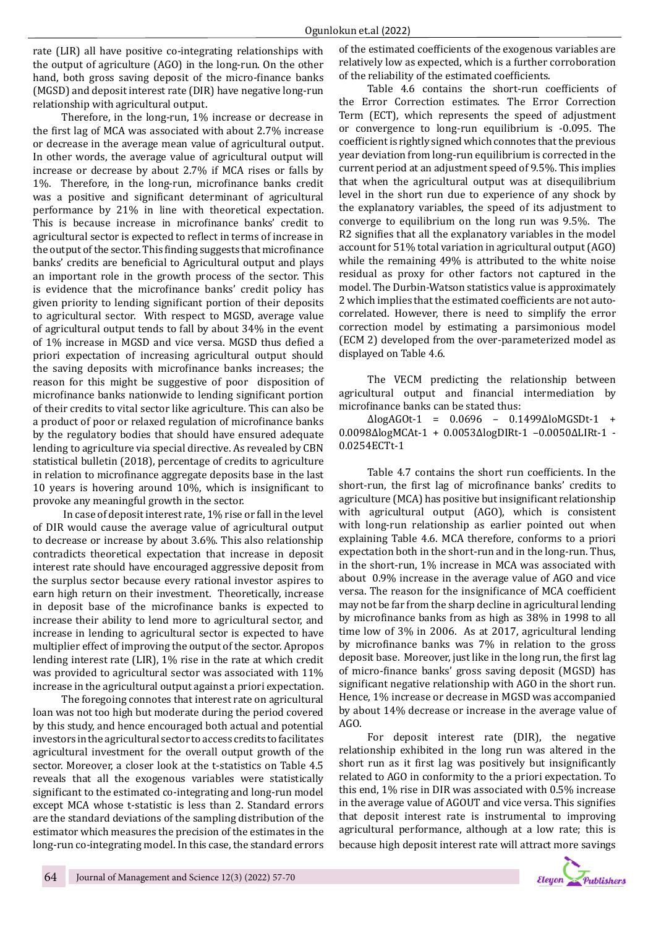rate (LIR) all have positive co-integrating relationships with the output of agriculture (AGO) in the long-run. On the other hand, both gross saving deposit of the micro-finance banks (MGSD) and deposit interest rate (DIR) have negative long-run relationship with agricultural output.

Therefore, in the long-run, 1% increase or decrease in the first lag of MCA was associated with about 2.7% increase or decrease in the average mean value of agricultural output. In other words, the average value of agricultural output will increase or decrease by about 2.7% if MCA rises or falls by 1%. Therefore, in the long-run, microfinance banks credit was a positive and significant determinant of agricultural performance by 21% in line with theoretical expectation. This is because increase in microfinance banks' credit to agricultural sector is expected to reflect in terms of increase in the output of the sector. This finding suggests that microfinance banks' credits are beneficial to Agricultural output and plays an important role in the growth process of the sector. This is evidence that the microfinance banks' credit policy has given priority to lending significant portion of their deposits to agricultural sector. With respect to MGSD, average value of agricultural output tends to fall by about 34% in the event of 1% increase in MGSD and vice versa. MGSD thus defied a priori expectation of increasing agricultural output should the saving deposits with microfinance banks increases; the reason for this might be suggestive of poor disposition of microfinance banks nationwide to lending significant portion of their credits to vital sector like agriculture. This can also be a product of poor or relaxed regulation of microfinance banks by the regulatory bodies that should have ensured adequate lending to agriculture via special directive. As revealed by CBN statistical bulletin (2018), percentage of credits to agriculture in relation to microfinance aggregate deposits base in the last 10 years is hovering around 10%, which is insignificant to provoke any meaningful growth in the sector.

 In case of deposit interest rate, 1% rise or fall in the level of DIR would cause the average value of agricultural output to decrease or increase by about 3.6%. This also relationship contradicts theoretical expectation that increase in deposit interest rate should have encouraged aggressive deposit from the surplus sector because every rational investor aspires to earn high return on their investment. Theoretically, increase in deposit base of the microfinance banks is expected to increase their ability to lend more to agricultural sector, and increase in lending to agricultural sector is expected to have multiplier effect of improving the output of the sector. Apropos lending interest rate (LIR), 1% rise in the rate at which credit was provided to agricultural sector was associated with 11% increase in the agricultural output against a priori expectation.

The foregoing connotes that interest rate on agricultural loan was not too high but moderate during the period covered by this study, and hence encouraged both actual and potential investors in the agricultural sector to access credits to facilitates agricultural investment for the overall output growth of the sector. Moreover, a closer look at the t-statistics on Table 4.5 reveals that all the exogenous variables were statistically significant to the estimated co-integrating and long-run model except MCA whose t-statistic is less than 2. Standard errors are the standard deviations of the sampling distribution of the estimator which measures the precision of the estimates in the long-run co-integrating model. In this case, the standard errors

of the estimated coefficients of the exogenous variables are relatively low as expected, which is a further corroboration of the reliability of the estimated coefficients.

Table 4.6 contains the short-run coefficients of the Error Correction estimates. The Error Correction Term (ECT), which represents the speed of adjustment or convergence to long-run equilibrium is -0.095. The coefficient is rightly signed which connotes that the previous year deviation from long-run equilibrium is corrected in the current period at an adjustment speed of 9.5%. This implies that when the agricultural output was at disequilibrium level in the short run due to experience of any shock by the explanatory variables, the speed of its adjustment to converge to equilibrium on the long run was 9.5%. The R2 signifies that all the explanatory variables in the model account for 51% total variation in agricultural output (AGO) while the remaining 49% is attributed to the white noise residual as proxy for other factors not captured in the model. The Durbin-Watson statistics value is approximately 2 which implies that the estimated coefficients are not autocorrelated. However, there is need to simplify the error correction model by estimating a parsimonious model (ECM 2) developed from the over-parameterized model as displayed on Table 4.6.

The VECM predicting the relationship between agricultural output and financial intermediation by microfinance banks can be stated thus:

ΔlogAGOt-1 = 0.0696 – 0.1499ΔloMGSDt-1 + 0.0098ΔlogMCAt-1 + 0.0053ΔlogDIRt-1 –0.0050ΔLIRt-1 - 0.0254ECTt-1

Table 4.7 contains the short run coefficients. In the short-run, the first lag of microfinance banks' credits to agriculture (MCA) has positive but insignificant relationship with agricultural output (AGO), which is consistent with long-run relationship as earlier pointed out when explaining Table 4.6. MCA therefore, conforms to a priori expectation both in the short-run and in the long-run. Thus, in the short-run, 1% increase in MCA was associated with about 0.9% increase in the average value of AGO and vice versa. The reason for the insignificance of MCA coefficient may not be far from the sharp decline in agricultural lending by microfinance banks from as high as 38% in 1998 to all time low of 3% in 2006. As at 2017, agricultural lending by microfinance banks was 7% in relation to the gross deposit base. Moreover, just like in the long run, the first lag of micro-finance banks' gross saving deposit (MGSD) has significant negative relationship with AGO in the short run. Hence, 1% increase or decrease in MGSD was accompanied by about 14% decrease or increase in the average value of AGO.

For deposit interest rate (DIR), the negative relationship exhibited in the long run was altered in the short run as it first lag was positively but insignificantly related to AGO in conformity to the a priori expectation. To this end, 1% rise in DIR was associated with 0.5% increase in the average value of AGOUT and vice versa. This signifies that deposit interest rate is instrumental to improving agricultural performance, although at a low rate; this is because high deposit interest rate will attract more savings

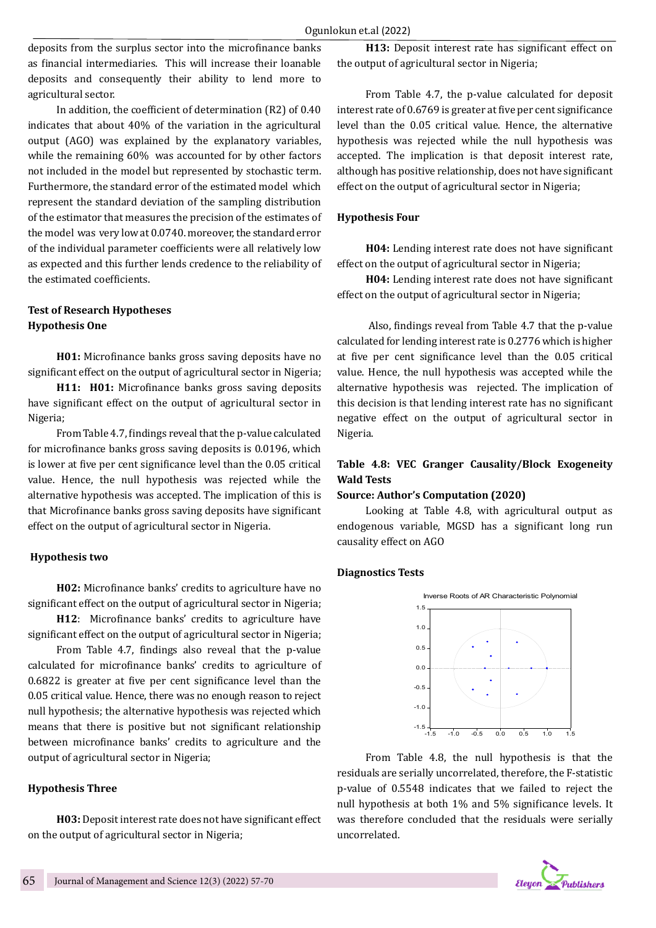deposits from the surplus sector into the microfinance banks as financial intermediaries. This will increase their loanable deposits and consequently their ability to lend more to agricultural sector.

In addition, the coefficient of determination (R2) of 0.40 indicates that about 40% of the variation in the agricultural output (AGO) was explained by the explanatory variables, while the remaining 60% was accounted for by other factors not included in the model but represented by stochastic term. Furthermore, the standard error of the estimated model which represent the standard deviation of the sampling distribution of the estimator that measures the precision of the estimates of the model was very low at 0.0740. moreover, the standard error of the individual parameter coefficients were all relatively low as expected and this further lends credence to the reliability of the estimated coefficients.

# **Test of Research Hypotheses Hypothesis One**

**H01:** Microfinance banks gross saving deposits have no significant effect on the output of agricultural sector in Nigeria;

**H11: H01:** Microfinance banks gross saving deposits have significant effect on the output of agricultural sector in Nigeria;

From Table 4.7, findings reveal that the p-value calculated for microfinance banks gross saving deposits is 0.0196, which is lower at five per cent significance level than the 0.05 critical value. Hence, the null hypothesis was rejected while the alternative hypothesis was accepted. The implication of this is that Microfinance banks gross saving deposits have significant effect on the output of agricultural sector in Nigeria.

#### **Hypothesis two**

**H02:** Microfinance banks' credits to agriculture have no significant effect on the output of agricultural sector in Nigeria;

**H12**: Microfinance banks' credits to agriculture have significant effect on the output of agricultural sector in Nigeria;

From Table 4.7, findings also reveal that the p-value calculated for microfinance banks' credits to agriculture of 0.6822 is greater at five per cent significance level than the 0.05 critical value. Hence, there was no enough reason to reject null hypothesis; the alternative hypothesis was rejected which means that there is positive but not significant relationship between microfinance banks' credits to agriculture and the output of agricultural sector in Nigeria;

# **Hypothesis Three**

**H03:** Deposit interest rate does not have significant effect on the output of agricultural sector in Nigeria;

**H13:** Deposit interest rate has significant effect on the output of agricultural sector in Nigeria;

From Table 4.7, the p-value calculated for deposit interest rate of 0.6769 is greater at five per cent significance level than the 0.05 critical value. Hence, the alternative hypothesis was rejected while the null hypothesis was accepted. The implication is that deposit interest rate, although has positive relationship, does not have significant effect on the output of agricultural sector in Nigeria;

#### **Hypothesis Four**

**H04:** Lending interest rate does not have significant effect on the output of agricultural sector in Nigeria;

**H04:** Lending interest rate does not have significant effect on the output of agricultural sector in Nigeria;

 Also, findings reveal from Table 4.7 that the p-value calculated for lending interest rate is 0.2776 which is higher at five per cent significance level than the 0.05 critical value. Hence, the null hypothesis was accepted while the alternative hypothesis was rejected. The implication of this decision is that lending interest rate has no significant negative effect on the output of agricultural sector in Nigeria.

# **Table 4.8: VEC Granger Causality/Block Exogeneity Wald Tests**

#### **Source: Author's Computation (2020)**

Looking at Table 4.8, with agricultural output as endogenous variable, MGSD has a significant long run causality effect on AGO

# **Diagnostics Tests**



From Table 4.8, the null hypothesis is that the residuals are serially uncorrelated, therefore, the F-statistic p-value of 0.5548 indicates that we failed to reject the null hypothesis at both 1% and 5% significance levels. It was therefore concluded that the residuals were serially uncorrelated.

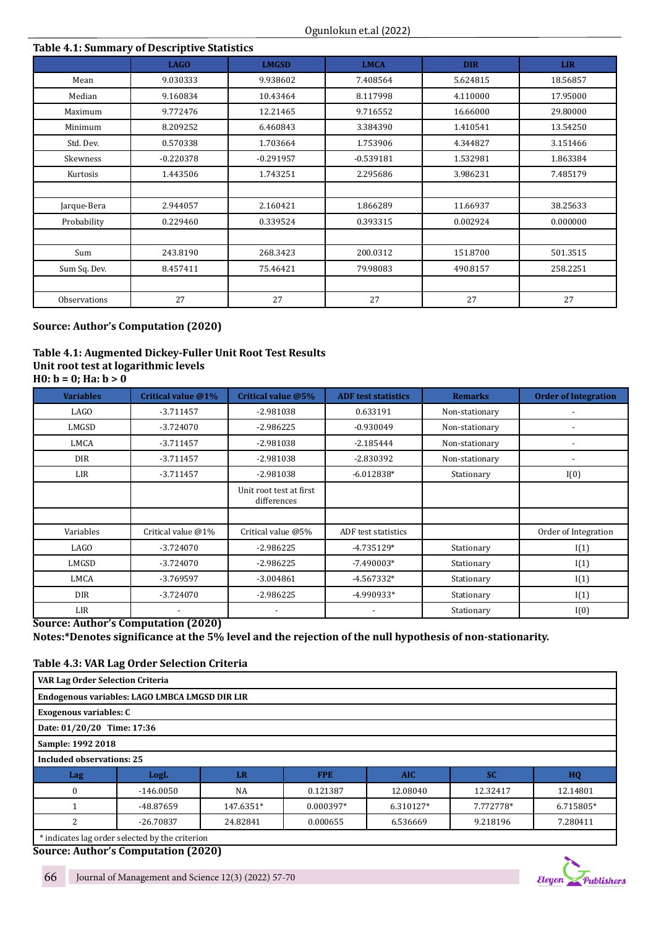# **Table 4.1: Summary of Descriptive Statistics**

|              | <b>LAGO</b> | <b>LMGSD</b> | <b>LMCA</b> | <b>DIR</b> | <b>LIR</b> |
|--------------|-------------|--------------|-------------|------------|------------|
| Mean         | 9.030333    | 9.938602     | 7.408564    | 5.624815   | 18.56857   |
| Median       | 9.160834    | 10.43464     | 8.117998    | 4.110000   | 17.95000   |
| Maximum      | 9.772476    | 12.21465     | 9.716552    | 16.66000   | 29.80000   |
| Minimum      | 8.209252    | 6.460843     | 3.384390    | 1.410541   | 13.54250   |
| Std. Dev.    | 0.570338    | 1.703664     | 1.753906    | 4.344827   | 3.151466   |
| Skewness     | $-0.220378$ | $-0.291957$  | $-0.539181$ | 1.532981   | 1.863384   |
| Kurtosis     | 1.443506    | 1.743251     | 2.295686    | 3.986231   | 7.485179   |
|              |             |              |             |            |            |
| Jarque-Bera  | 2.944057    | 2.160421     | 1.866289    | 11.66937   | 38.25633   |
| Probability  | 0.229460    | 0.339524     | 0.393315    | 0.002924   | 0.000000   |
|              |             |              |             |            |            |
| Sum          | 243.8190    | 268.3423     | 200.0312    | 151.8700   | 501.3515   |
| Sum Sq. Dev. | 8.457411    | 75.46421     | 79.98083    | 490.8157   | 258.2251   |
|              |             |              |             |            |            |
| Observations | 27          | 27           | 27          | 27         | 27         |

# **Source: Author's Computation (2020)**

# **Table 4.1: Augmented Dickey-Fuller Unit Root Test Results**

**Unit root test at logarithmic levels H0: b = 0; Ha: b > 0**

| <b>Variables</b> | Critical value @1% | Critical value @5%                     | <b>ADF</b> test statistics | <b>Remarks</b> | <b>Order of Integration</b> |
|------------------|--------------------|----------------------------------------|----------------------------|----------------|-----------------------------|
| LAGO             | $-3.711457$        | $-2.981038$                            | 0.633191                   | Non-stationary |                             |
| LMGSD            | $-3.724070$        | $-2.986225$                            | $-0.930049$                | Non-stationary |                             |
| <b>LMCA</b>      | $-3.711457$        | $-2.981038$                            | $-2.185444$                | Non-stationary |                             |
| <b>DIR</b>       | $-3.711457$        | $-2.981038$                            | $-2.830392$                | Non-stationary |                             |
| LIR              | $-3.711457$        | $-2.981038$                            | $-6.012838*$               | Stationary     | I(0)                        |
|                  |                    | Unit root test at first<br>differences |                            |                |                             |
|                  |                    |                                        |                            |                |                             |
| Variables        | Critical value @1% | Critical value @5%                     | ADF test statistics        |                | Order of Integration        |
| LAGO             | $-3.724070$        | $-2.986225$                            | $-4.735129*$               | Stationary     | I(1)                        |
| LMGSD            | $-3.724070$        | $-2.986225$                            | $-7.490003*$               | Stationary     | I(1)                        |
| <b>LMCA</b>      | $-3.769597$        | $-3.004861$                            | $-4.567332*$               | Stationary     | I(1)                        |
| <b>DIR</b>       | $-3.724070$        | $-2.986225$                            | -4.990933*                 | Stationary     | I(1)                        |
| LIR              |                    |                                        |                            | Stationary     | I(0)                        |

# **Source: Author's Computation (2020) Notes:\*Denotes significance at the 5% level and the rejection of the null hypothesis of non-stationarity.**

# **Table 4.3: VAR Lag Order Selection Criteria**

| VAR Lag Order Selection Criteria                                           |                                                |    |            |            |           |    |  |
|----------------------------------------------------------------------------|------------------------------------------------|----|------------|------------|-----------|----|--|
|                                                                            | Endogenous variables: LAGO LMBCA LMGSD DIR LIR |    |            |            |           |    |  |
| <b>Exogenous variables: C</b>                                              |                                                |    |            |            |           |    |  |
| Date: 01/20/20 Time: 17:36                                                 |                                                |    |            |            |           |    |  |
| Sample: 1992 2018                                                          |                                                |    |            |            |           |    |  |
| <b>Included observations: 25</b>                                           |                                                |    |            |            |           |    |  |
| Lag                                                                        | LogL                                           | LR | <b>FPE</b> | <b>AIC</b> | <b>SC</b> | HQ |  |
| <b>NA</b><br>12.08040<br>$-146.0050$<br>0.121387<br>12.32417<br>12.14801   |                                                |    |            |            |           |    |  |
| -48.87659<br>147.6351*<br>7.772778*<br>0.000397*<br>6.310127*<br>6.715805* |                                                |    |            |            |           |    |  |
| $-26.70837$<br>24.82841<br>0.000655<br>6.536669<br>9.218196<br>7.280411    |                                                |    |            |            |           |    |  |
|                                                                            | tindicates lag order selected by the criterion |    |            |            |           |    |  |

 \* indicates lag order selected by the criterion **Source: Author's Computation (2020)**

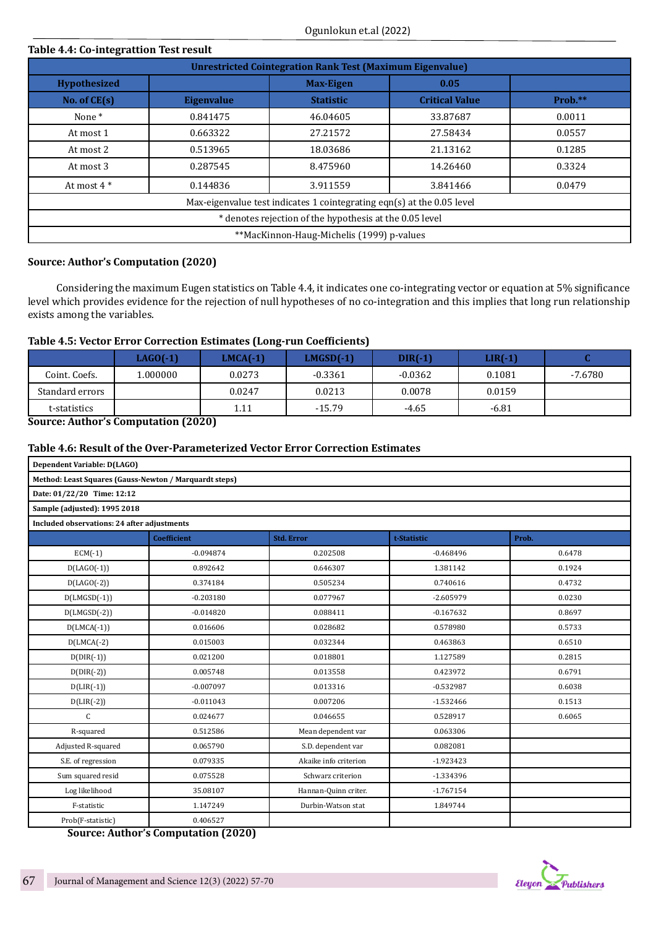| Table 4.4: Co-integrattion Test result                           |                                           |                                                                        |                       |           |  |  |
|------------------------------------------------------------------|-------------------------------------------|------------------------------------------------------------------------|-----------------------|-----------|--|--|
| <b>Unrestricted Cointegration Rank Test (Maximum Eigenvalue)</b> |                                           |                                                                        |                       |           |  |  |
| <b>Hypothesized</b>                                              |                                           | <b>Max-Eigen</b>                                                       | 0.05                  |           |  |  |
| No. of $CE(s)$                                                   | <b>Eigenvalue</b>                         | <b>Statistic</b>                                                       | <b>Critical Value</b> | $Prob.**$ |  |  |
| None <sup>*</sup>                                                | 0.841475                                  | 46.04605                                                               | 33.87687              | 0.0011    |  |  |
| At most 1                                                        | 0.663322                                  | 27.21572                                                               | 27.58434              | 0.0557    |  |  |
| At most 2                                                        | 0.513965                                  | 18.03686                                                               | 21.13162              | 0.1285    |  |  |
| At most 3                                                        | 0.287545                                  | 8.475960                                                               | 14.26460              | 0.3324    |  |  |
| At most $4*$                                                     | 0.144836                                  | 3.911559                                                               | 3.841466              | 0.0479    |  |  |
|                                                                  |                                           | Max-eigenvalue test indicates 1 cointegrating eqn(s) at the 0.05 level |                       |           |  |  |
|                                                                  |                                           | * denotes rejection of the hypothesis at the 0.05 level                |                       |           |  |  |
|                                                                  | **MacKinnon-Haug-Michelis (1999) p-values |                                                                        |                       |           |  |  |

# **Source: Author's Computation (2020)**

Considering the maximum Eugen statistics on Table 4.4, it indicates one co-integrating vector or equation at 5% significance level which provides evidence for the rejection of null hypotheses of no co-integration and this implies that long run relationship exists among the variables.

# **Table 4.5: Vector Error Correction Estimates (Long-run Coefficients)**

|                 | $LAGO(-1)$ | $LMCA(-1)$ | LMGSD(-1) | $DIR(-1)$ | $LIR(-1)$ |         |
|-----------------|------------|------------|-----------|-----------|-----------|---------|
| Coint. Coefs.   | 1.000000   | 0.0273     | $-0.3361$ | $-0.0362$ | 0.1081    | -7.6780 |
| Standard errors |            | 0.0247     | 0.0213    | 0.0078    | 0.0159    |         |
| t-statistics    |            | 1.11       | $-15.79$  | $-4.65$   | $-6.81$   |         |

**Source: Author's Computation (2020)**

# **Table 4.6: Result of the Over-Parameterized Vector Error Correction Estimates**

| Dependent Variable: D(LAGO)                            |                        |                       |             |        |  |  |  |
|--------------------------------------------------------|------------------------|-----------------------|-------------|--------|--|--|--|
| Method: Least Squares (Gauss-Newton / Marquardt steps) |                        |                       |             |        |  |  |  |
| Date: 01/22/20 Time: 12:12                             |                        |                       |             |        |  |  |  |
| Sample (adjusted): 1995 2018                           |                        |                       |             |        |  |  |  |
| Included observations: 24 after adjustments            |                        |                       |             |        |  |  |  |
|                                                        | <b>Coefficient</b>     | <b>Std. Error</b>     | t-Statistic | Prob.  |  |  |  |
| $ECM(-1)$                                              | $-0.094874$            | 0.202508              | $-0.468496$ | 0.6478 |  |  |  |
| $D(LAGO(-1))$                                          | 0.892642               | 0.646307              | 1.381142    | 0.1924 |  |  |  |
| $D(LAGO(-2))$                                          | 0.374184               | 0.505234              | 0.740616    | 0.4732 |  |  |  |
| $D(LMGSD(-1))$                                         | $-0.203180$            | 0.077967              | $-2.605979$ | 0.0230 |  |  |  |
| $D(LMGSD(-2))$                                         | $-0.014820$            | 0.088411              | $-0.167632$ | 0.8697 |  |  |  |
| $D(LMCA(-1))$                                          | 0.016606               | 0.028682              | 0.578980    | 0.5733 |  |  |  |
| $D(LMCA(-2))$                                          | 0.015003               | 0.032344              | 0.463863    | 0.6510 |  |  |  |
| $D(DIR(-1))$                                           | 0.021200               | 0.018801              | 1.127589    | 0.2815 |  |  |  |
| $D(DIR(-2))$                                           | 0.005748               | 0.013558              | 0.423972    | 0.6791 |  |  |  |
| $D(LIR(-1))$                                           | $-0.007097$            | 0.013316              | $-0.532987$ | 0.6038 |  |  |  |
| $D(LIR(-2))$                                           | $-0.011043$            | 0.007206              | $-1.532466$ | 0.1513 |  |  |  |
| $\mathsf C$                                            | 0.024677               | 0.046655              | 0.528917    | 0.6065 |  |  |  |
| R-squared                                              | 0.512586               | Mean dependent var    | 0.063306    |        |  |  |  |
| Adjusted R-squared                                     | 0.065790               | S.D. dependent var    | 0.082081    |        |  |  |  |
| S.E. of regression                                     | 0.079335               | Akaike info criterion | $-1.923423$ |        |  |  |  |
| Sum squared resid                                      | 0.075528               | Schwarz criterion     | $-1.334396$ |        |  |  |  |
| Log likelihood                                         | 35.08107               | Hannan-Quinn criter.  | $-1.767154$ |        |  |  |  |
| F-statistic                                            | 1.147249               | Durbin-Watson stat    | 1.849744    |        |  |  |  |
| Prob(F-statistic)<br>$\overline{\cdots}$               | 0.406527<br>$\sqrt{2}$ |                       |             |        |  |  |  |

**Source: Author's Computation (2020)**

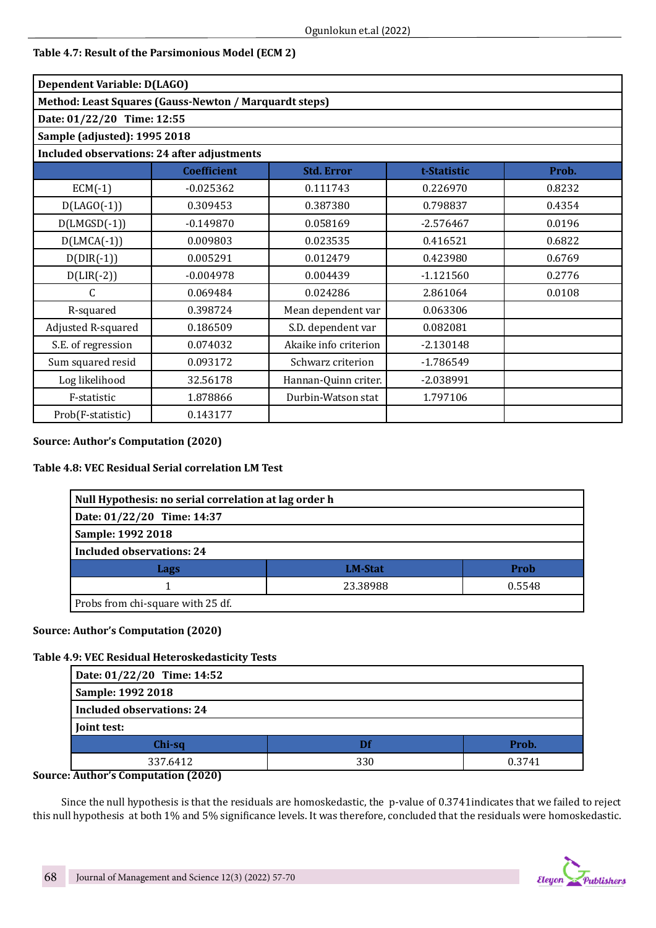| Table 4.7: Result of the Parsimonious Model (ECM 2) |  |  |
|-----------------------------------------------------|--|--|
|-----------------------------------------------------|--|--|

| Dependent Variable: D(LAGO)                        |                                                        |                       |             |        |  |  |  |
|----------------------------------------------------|--------------------------------------------------------|-----------------------|-------------|--------|--|--|--|
|                                                    | Method: Least Squares (Gauss-Newton / Marquardt steps) |                       |             |        |  |  |  |
| Date: 01/22/20 Time: 12:55                         |                                                        |                       |             |        |  |  |  |
| Sample (adjusted): 1995 2018                       |                                                        |                       |             |        |  |  |  |
| <b>Included observations: 24 after adjustments</b> |                                                        |                       |             |        |  |  |  |
|                                                    | <b>Coefficient</b>                                     | <b>Std. Error</b>     | t-Statistic | Prob.  |  |  |  |
| $ECM(-1)$                                          | $-0.025362$                                            | 0.111743              | 0.226970    | 0.8232 |  |  |  |
| $D(LAGO(-1))$                                      | 0.309453                                               | 0.387380              | 0.798837    | 0.4354 |  |  |  |
| $D(LMGSD(-1))$                                     | $-0.149870$                                            | 0.058169              | $-2.576467$ | 0.0196 |  |  |  |
| $D(LMCA(-1))$                                      | 0.009803                                               | 0.023535              | 0.416521    | 0.6822 |  |  |  |
| $D(DIR(-1))$                                       | 0.005291                                               | 0.012479              | 0.423980    | 0.6769 |  |  |  |
| $D(LIR(-2))$                                       | $-0.004978$                                            | 0.004439              | $-1.121560$ | 0.2776 |  |  |  |
| C                                                  | 0.069484                                               | 0.024286              | 2.861064    | 0.0108 |  |  |  |
| R-squared                                          | 0.398724                                               | Mean dependent var    | 0.063306    |        |  |  |  |
| Adjusted R-squared                                 | 0.186509                                               | S.D. dependent var    | 0.082081    |        |  |  |  |
| S.E. of regression                                 | 0.074032                                               | Akaike info criterion | $-2.130148$ |        |  |  |  |
| Sum squared resid                                  | 0.093172                                               | Schwarz criterion     | $-1.786549$ |        |  |  |  |
| Log likelihood                                     | 32.56178                                               | Hannan-Quinn criter.  | $-2.038991$ |        |  |  |  |
| F-statistic                                        | 1.878866                                               | Durbin-Watson stat    | 1.797106    |        |  |  |  |
| Prob(F-statistic)                                  | 0.143177                                               |                       |             |        |  |  |  |

# **Source: Author's Computation (2020)**

# **Table 4.8: VEC Residual Serial correlation LM Test**

| Null Hypothesis: no serial correlation at lag order h |  |  |  |  |  |  |
|-------------------------------------------------------|--|--|--|--|--|--|
| Date: 01/22/20 Time: 14:37                            |  |  |  |  |  |  |
| Sample: 1992 2018                                     |  |  |  |  |  |  |
| <b>Included observations: 24</b>                      |  |  |  |  |  |  |
| Prob<br><b>LM-Stat</b><br>Lags                        |  |  |  |  |  |  |
| 0.5548<br>23.38988                                    |  |  |  |  |  |  |
| Probs from chi-square with 25 df.                     |  |  |  |  |  |  |

# **Source: Author's Computation (2020)**

# **Table 4.9: VEC Residual Heteroskedasticity Tests**

| Date: 01/22/20 Time: 14:52       |     |        |  |  |  |  |
|----------------------------------|-----|--------|--|--|--|--|
| Sample: 1992 2018                |     |        |  |  |  |  |
| <b>Included observations: 24</b> |     |        |  |  |  |  |
| Joint test:                      |     |        |  |  |  |  |
| Chi-sq                           | Df  | Prob.  |  |  |  |  |
| 337.6412                         | 330 | 0.3741 |  |  |  |  |

# **Source: Author's Computation (2020)**

Since the null hypothesis is that the residuals are homoskedastic, the p-value of 0.3741indicates that we failed to reject this null hypothesis at both 1% and 5% significance levels. It was therefore, concluded that the residuals were homoskedastic.

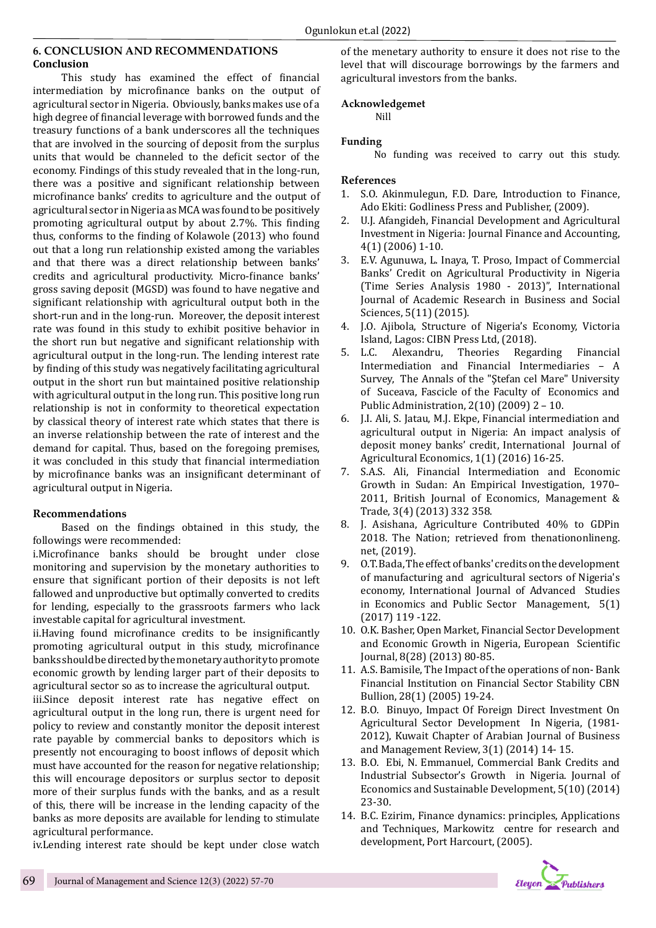#### **6. CONCLUSION AND RECOMMENDATIONS Conclusion**

This study has examined the effect of financial intermediation by microfinance banks on the output of agricultural sector in Nigeria. Obviously, banks makes use of a high degree of financial leverage with borrowed funds and the treasury functions of a bank underscores all the techniques that are involved in the sourcing of deposit from the surplus units that would be channeled to the deficit sector of the economy. Findings of this study revealed that in the long-run, there was a positive and significant relationship between microfinance banks' credits to agriculture and the output of agricultural sector in Nigeria as MCA was found to be positively promoting agricultural output by about 2.7%. This finding thus, conforms to the finding of Kolawole (2013) who found out that a long run relationship existed among the variables and that there was a direct relationship between banks' credits and agricultural productivity. Micro-finance banks' gross saving deposit (MGSD) was found to have negative and significant relationship with agricultural output both in the short-run and in the long-run. Moreover, the deposit interest rate was found in this study to exhibit positive behavior in the short run but negative and significant relationship with agricultural output in the long-run. The lending interest rate by finding of this study was negatively facilitating agricultural output in the short run but maintained positive relationship with agricultural output in the long run. This positive long run relationship is not in conformity to theoretical expectation by classical theory of interest rate which states that there is an inverse relationship between the rate of interest and the demand for capital. Thus, based on the foregoing premises, it was concluded in this study that financial intermediation by microfinance banks was an insignificant determinant of agricultural output in Nigeria.

# **Recommendations**

Based on the findings obtained in this study, the followings were recommended:

i.Microfinance banks should be brought under close monitoring and supervision by the monetary authorities to ensure that significant portion of their deposits is not left fallowed and unproductive but optimally converted to credits for lending, especially to the grassroots farmers who lack investable capital for agricultural investment.

ii.Having found microfinance credits to be insignificantly promoting agricultural output in this study, microfinance banks should be directed by the monetary authority to promote economic growth by lending larger part of their deposits to agricultural sector so as to increase the agricultural output.

iii.Since deposit interest rate has negative effect on agricultural output in the long run, there is urgent need for policy to review and constantly monitor the deposit interest rate payable by commercial banks to depositors which is presently not encouraging to boost inflows of deposit which must have accounted for the reason for negative relationship; this will encourage depositors or surplus sector to deposit more of their surplus funds with the banks, and as a result of this, there will be increase in the lending capacity of the banks as more deposits are available for lending to stimulate agricultural performance.

iv.Lending interest rate should be kept under close watch

of the menetary authority to ensure it does not rise to the level that will discourage borrowings by the farmers and agricultural investors from the banks.

# **Acknowledgemet**

Nill

# **Funding**

No funding was received to carry out this study.

# **References**

- 1. S.O. Akinmulegun, F.D. Dare, Introduction to Finance, Ado Ekiti: Godliness Press and Publisher, (2009).
- 2. U.J. Afangideh, Financial Development and Agricultural Investment in Nigeria: Journal Finance and Accounting, 4(1) (2006) 1-10.
- 3. E.V. Agunuwa, L. Inaya, T. Proso, Impact of Commercial Banks' Credit on Agricultural Productivity in Nigeria (Time Series Analysis 1980 - 2013)", International Journal of Academic Research in Business and Social Sciences, 5(11) (2015).
- 4. J.O. Ajibola, Structure of Nigeria's Economy, Victoria Island, Lagos: CIBN Press Ltd, (2018).<br>5. L.C. Alexandru, Theories Rega
- Regarding Financial Intermediation and Financial Intermediaries – A Survey, The Annals of the "Ştefan cel Mare" University of Suceava, Fascicle of the Faculty of Economics and Public Administration, 2(10) (2009) 2 – 10.
- 6. J.I. Ali, S. Jatau, M.J. Ekpe, Financial intermediation and agricultural output in Nigeria: An impact analysis of deposit money banks' credit, International Journal of Agricultural Economics, 1(1) (2016) 16-25.
- 7. S.A.S. Ali, Financial Intermediation and Economic Growth in Sudan: An Empirical Investigation, 1970– 2011, British Journal of Economics, Management & Trade, 3(4) (2013) 332 358.
- 8. J. Asishana, Agriculture Contributed 40% to GDPin 2018. The Nation; retrieved from thenationonlineng. net, (2019).
- 9. O.T. Bada, The effect of banks' credits on the development of manufacturing and agricultural sectors of Nigeria's economy, International Journal of Advanced Studies in Economics and Public Sector Management, 5(1) (2017) 119 -122.
- 10. O.K. Basher, Open Market, Financial Sector Development and Economic Growth in Nigeria, European Scientific Journal, 8(28) (2013) 80-85.
- 11. A.S. Bamisile, The Impact of the operations of non- Bank Financial Institution on Financial Sector Stability CBN Bullion, 28(1) (2005) 19-24.
- 12. B.O. Binuyo, Impact Of Foreign Direct Investment On Agricultural Sector Development In Nigeria, (1981- 2012), Kuwait Chapter of Arabian Journal of Business and Management Review, 3(1) (2014) 14- 15.
- 13. B.O. Ebi, N. Emmanuel, Commercial Bank Credits and Industrial Subsector's Growth in Nigeria. Journal of Economics and Sustainable Development, 5(10) (2014) 23-30.
- 14. B.C. Ezirim, Finance dynamics: principles, Applications and Techniques, Markowitz centre for research and development, Port Harcourt, (2005).